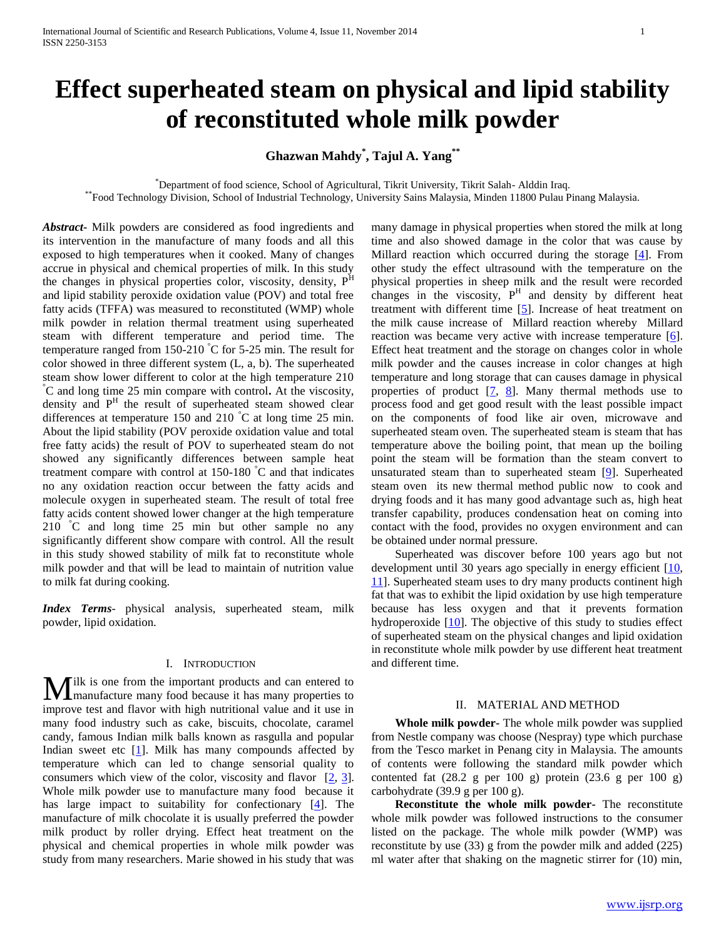# **Effect superheated steam on physical and lipid stability of reconstituted whole milk powder**

**Ghazwan Mahdy\* , Tajul A. Yang\*\***

\*Department of food science, School of Agricultural, Tikrit University, Tikrit Salah- Alddin Iraq.

\*\*Food Technology Division, School of Industrial Technology, University Sains Malaysia, Minden 11800 Pulau Pinang Malaysia.

*Abstract***-** Milk powders are considered as food ingredients and its intervention in the manufacture of many foods and all this exposed to high temperatures when it cooked. Many of changes accrue in physical and chemical properties of milk. In this study the changes in physical properties color, viscosity, density,  $P<sup>H</sup>$ and lipid stability peroxide oxidation value (POV) and total free fatty acids (TFFA) was measured to reconstituted (WMP) whole milk powder in relation thermal treatment using superheated steam with different temperature and period time. The temperature ranged from 150-210  $\degree$ C for 5-25 min. The result for color showed in three different system (L, a, b). The superheated steam show lower different to color at the high temperature 210 °C and long time 25 min compare with control**.** At the viscosity, density and P<sup>H</sup> the result of superheated steam showed clear differences at temperature 150 and 210 °C at long time 25 min. About the lipid stability (POV peroxide oxidation value and total free fatty acids) the result of POV to superheated steam do not showed any significantly differences between sample heat treatment compare with control at  $150-180$  °C and that indicates no any oxidation reaction occur between the fatty acids and molecule oxygen in superheated steam. The result of total free fatty acids content showed lower changer at the high temperature 210 °C and long time 25 min but other sample no any significantly different show compare with control. All the result in this study showed stability of milk fat to reconstitute whole milk powder and that will be lead to maintain of nutrition value to milk fat during cooking.

*Index Terms*- physical analysis, superheated steam, milk powder, lipid oxidation.

# I. INTRODUCTION

**M**ilk is one from the important products and can entered to manufacture many food because it has many properties to manufacture many food because it has many properties to improve test and flavor with high nutritional value and it use in many food industry such as cake, biscuits, chocolate, caramel candy, famous Indian milk balls known as rasgulla and popular Indian sweet etc  $[1]$ . Milk has many compounds affected by temperature which can led to change sensorial quality to consumers which view of the color, viscosity and flavor [2, 3]. Whole milk powder use to manufacture many food because it has large impact to suitability for confectionary [4]. The manufacture of milk chocolate it is usually preferred the powder milk product by roller drying. Effect heat treatment on the physical and chemical properties in whole milk powder was study from many researchers. Marie showed in his study that was

many damage in physical properties when stored the milk at long time and also showed damage in the color that was cause by Millard reaction which occurred during the storage  $[4]$ . From other study the effect ultrasound with the temperature on the physical properties in sheep milk and the result were recorded changes in the viscosity,  $P<sup>H</sup>$  and density by different heat treatment with different time [5]. Increase of heat treatment on the milk cause increase of Millard reaction whereby Millard reaction was became very active with increase temperature  $[6]$ . Effect heat treatment and the storage on changes color in whole milk powder and the causes increase in color changes at high temperature and long storage that can causes damage in physical properties of product  $[7, 8]$ . Many thermal methods use to process food and get good result with the least possible impact on the components of food like air oven, microwave and superheated steam oven. The superheated steam is steam that has temperature above the boiling point, that mean up the boiling point the steam will be formation than the steam convert to unsaturated steam than to superheated steam [9]. Superheated steam oven its new thermal method public now to cook and drying foods and it has many good advantage such as, high heat transfer capability, produces condensation heat on coming into contact with the food, provides no oxygen environment and can be obtained under normal pressure.

 Superheated was discover before 100 years ago but not development until 30 years ago specially in energy efficient [10, 11]. Superheated steam uses to dry many products continent high fat that was to exhibit the lipid oxidation by use high temperature because has less oxygen and that it prevents formation hydroperoxide [10]. The objective of this study to studies effect of superheated steam on the physical changes and lipid oxidation in reconstitute whole milk powder by use different heat treatment and different time.

## II. MATERIAL AND METHOD

 **Whole milk powder-** The whole milk powder was supplied from Nestle company was choose (Nespray) type which purchase from the Tesco market in Penang city in Malaysia. The amounts of contents were following the standard milk powder which contented fat  $(28.2 \text{ g per } 100 \text{ g})$  protein  $(23.6 \text{ g per } 100 \text{ g})$ carbohydrate (39.9 g per 100 g).

 **Reconstitute the whole milk powder-** The reconstitute whole milk powder was followed instructions to the consumer listed on the package. The whole milk powder (WMP) was reconstitute by use (33) g from the powder milk and added (225) ml water after that shaking on the magnetic stirrer for (10) min,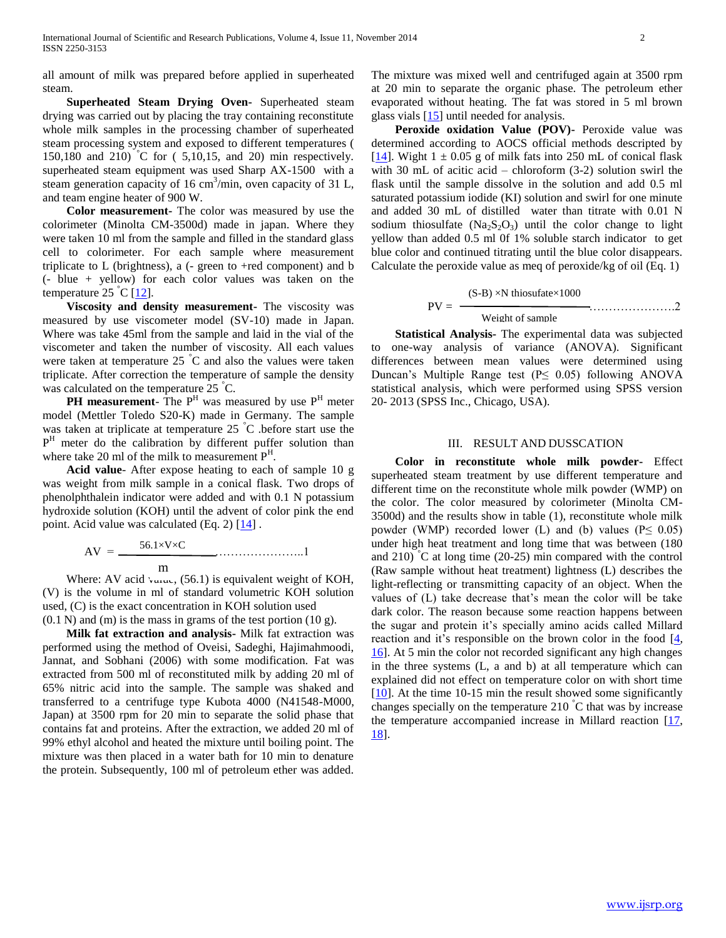all amount of milk was prepared before applied in superheated steam.

 **Superheated Steam Drying Oven-** Superheated steam drying was carried out by placing the tray containing reconstitute whole milk samples in the processing chamber of superheated steam processing system and exposed to different temperatures ( 150,180 and 210) °C for ( 5,10,15, and 20) min respectively. superheated steam equipment was used Sharp AX-1500 with a steam generation capacity of  $16 \text{ cm}^3/\text{min}$ , oven capacity of  $31 \text{ L}$ , and team engine heater of 900 W.

 **Color measurement-** The color was measured by use the colorimeter (Minolta CM-3500d) made in japan. Where they were taken 10 ml from the sample and filled in the standard glass cell to colorimeter. For each sample where measurement triplicate to L (brightness), a (- green to +red component) and b (- blue + yellow) for each color values was taken on the temperature 25  $\degree$ C [12].

 **Viscosity and density measurement-** The viscosity was measured by use viscometer model (SV-10) made in Japan. Where was take 45ml from the sample and laid in the vial of the viscometer and taken the number of viscosity. All each values were taken at temperature  $25\degree C$  and also the values were taken triplicate. After correction the temperature of sample the density was calculated on the temperature 25 °C.

**PH measurement**- The  $P<sup>H</sup>$  was measured by use  $P<sup>H</sup>$  meter model (Mettler Toledo S20-K) made in Germany. The sample was taken at triplicate at temperature 25 °C .before start use the P<sup>H</sup> meter do the calibration by different puffer solution than where take 20 ml of the milk to measurement  $P<sup>H</sup>$ .

 **Acid value**- After expose heating to each of sample 10 g was weight from milk sample in a conical flask. Two drops of phenolphthalein indicator were added and with 0.1 N potassium hydroxide solution (KOH) until the advent of color pink the end point. Acid value was calculated (Eq. 2) [14] .

 AV = …………………..1 56.1×V×C m

Where: AV acid value,  $(56.1)$  is equivalent weight of KOH, (V) is the volume in ml of standard volumetric KOH solution used, (C) is the exact concentration in KOH solution used (0.1 N) and (m) is the mass in grams of the test portion (10 g).

 **Milk fat extraction and analysis-** Milk fat extraction was performed using the method of Oveisi, Sadeghi, Hajimahmoodi, Jannat, and Sobhani (2006) with some modification. Fat was extracted from 500 ml of reconstituted milk by adding 20 ml of 65% nitric acid into the sample. The sample was shaked and transferred to a centrifuge type Kubota 4000 (N41548-M000, Japan) at 3500 rpm for 20 min to separate the solid phase that contains fat and proteins. After the extraction, we added 20 ml of 99% ethyl alcohol and heated the mixture until boiling point. The mixture was then placed in a water bath for 10 min to denature the protein. Subsequently, 100 ml of petroleum ether was added.

The mixture was mixed well and centrifuged again at 3500 rpm at 20 min to separate the organic phase. The petroleum ether evaporated without heating. The fat was stored in 5 ml brown glass vials [15] until needed for analysis.

 **Peroxide oxidation Value (POV)-** Peroxide value was determined according to AOCS official methods descripted by [ $14$ ]. Wight 1  $\pm$  0.05 g of milk fats into 250 mL of conical flask with 30 mL of acitic acid – chloroform (3-2) solution swirl the flask until the sample dissolve in the solution and add 0.5 ml saturated potassium iodide (KI) solution and swirl for one minute and added 30 mL of distilled water than titrate with 0.01 N sodium thiosulfate  $(Na_2S_2O_3)$  until the color change to light yellow than added 0.5 ml 0f 1% soluble starch indicator to get blue color and continued titrating until the blue color disappears. Calculate the peroxide value as meq of peroxide/kg of oil (Eq. 1)

 PV = ………………….2 (S-B) ×N thiosufate×1000 Weight of sample

 **Statistical Analysis-** The experimental data was subjected to one-way analysis of variance (ANOVA). Significant differences between mean values were determined using Duncan's Multiple Range test (P≤ 0.05) following ANOVA statistical analysis, which were performed using SPSS version 20- 2013 (SPSS Inc., Chicago, USA).

### III. RESULT AND DUSSCATION

 **Color in reconstitute whole milk powder-** Effect superheated steam treatment by use different temperature and different time on the reconstitute whole milk powder (WMP) on the color. The color measured by colorimeter (Minolta CM-3500d) and the results show in table (1), reconstitute whole milk powder (WMP) recorded lower (L) and (b) values ( $P \leq 0.05$ ) under high heat treatment and long time that was between (180 and 210) °C at long time (20-25) min compared with the control (Raw sample without heat treatment) lightness (L) describes the light-reflecting or transmitting capacity of an object. When the values of (L) take decrease that's mean the color will be take dark color. The reason because some reaction happens between the sugar and protein it's specially amino acids called Millard reaction and it's responsible on the brown color in the food  $[4, 6]$ 16]. At 5 min the color not recorded significant any high changes in the three systems (L, a and b) at all temperature which can explained did not effect on temperature color on with short time [10]. At the time 10-15 min the result showed some significantly changes specially on the temperature 210  $\degree$ C that was by increase the temperature accompanied increase in Millard reaction [17, 18].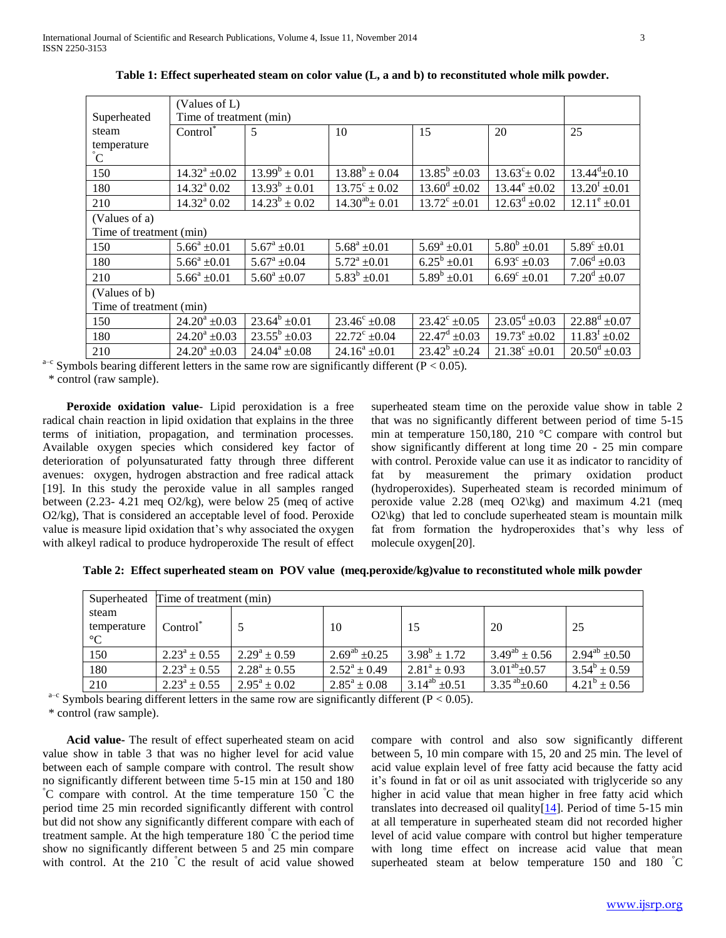|                                                        | (Values of L)              |                       |                          |                          |                          |                             |
|--------------------------------------------------------|----------------------------|-----------------------|--------------------------|--------------------------|--------------------------|-----------------------------|
| Superheated                                            | Time of treatment (min)    |                       |                          |                          |                          |                             |
| steam                                                  | Control <sup>*</sup>       | 5                     | 10                       | 15                       | 20                       | 25                          |
| temperature<br>C                                       |                            |                       |                          |                          |                          |                             |
| 150                                                    | $14.32^{\rm a}$ ±0.02      | $13.99^b \pm 0.01$    | $13.88^b \pm 0.04$       | $13.85^b \pm 0.03$       | $13.63^{\circ}$ = 0.02   | $13.44^{\mathrm{d}}\pm0.10$ |
| 180                                                    | $14.32^{\rm a}$ 0.02       | $13.93^b \pm 0.01$    | $13.75^{\circ} \pm 0.02$ | $13.60^{\rm d} \pm 0.02$ | $13.44^{\circ}$ ±0.02    | $13.20^{\rm f}$ ±0.01       |
| 210                                                    | $14.32^{\mathrm{a}}\,0.02$ | $14.23^b \pm 0.02$    | $14.30^{ab}$ ± 0.01      | $13.72^{\circ} \pm 0.01$ | $12.63^d \pm 0.02$       | $12.11^e \pm 0.01$          |
| (Values of a)                                          |                            |                       |                          |                          |                          |                             |
| Time of treatment (min)                                |                            |                       |                          |                          |                          |                             |
| 150                                                    | $5.66^a \pm 0.01$          | $5.67^a \pm 0.01$     | $5.68^a \pm 0.01$        | $5.69^a \pm 0.01$        | $5.80^b \pm 0.01$        | $5.89^{\circ}$ ±0.01        |
| 180                                                    | $5.66^a \pm 0.01$          | $5.67^a \pm 0.04$     | $5.72^a \pm 0.01$        | $6.25^b \pm 0.01$        | $6.93^{\circ}$ ±0.03     | $7.06^d \pm 0.03$           |
| 210                                                    | $5.66^a \pm 0.01$          | $5.60^a \pm 0.07$     | $5.83^b \pm 0.01$        | $5.89^b \pm 0.01$        | $6.69^{\circ}$ ±0.01     | $7.20^{\rm d} \pm 0.07$     |
| (Values of b)                                          |                            |                       |                          |                          |                          |                             |
| Time of treatment (min)                                |                            |                       |                          |                          |                          |                             |
| 150                                                    | $24.20^a \pm 0.03$         | $23.64^b \pm 0.01$    | $23.46^{\circ} \pm 0.08$ | $23.42^{\circ} \pm 0.05$ | $23.05^{\rm d} \pm 0.03$ | $22.88^d \pm 0.07$          |
| 180                                                    | $24.20^a \pm 0.03$         | $23.55^b \pm 0.03$    | $22.72^{\circ} \pm 0.04$ | $22.47^{\rm d} \pm 0.03$ | $19.73^e \pm 0.02$       | $11.83^f \pm 0.02$          |
| 210                                                    | $24.20^a \pm 0.03$         | $24.04^{\circ}$ +0.08 | $24.16^a \pm 0.01$       | $23.42^b \pm 0.24$       | $21.38^{\circ}$ +0.01    | $20.50^{\rm d} \pm 0.03$    |
| dependence of the came row are equipment of $P > 0.05$ |                            |                       |                          |                          |                          |                             |

**Table 1: Effect superheated steam on color value (L, a and b) to reconstituted whole milk powder.**

 $a-c$  Symbols bearing different letters in the same row are significantly different (P < 0.05).

\* control (raw sample).

 **Peroxide oxidation value**- Lipid peroxidation is a free radical chain reaction in lipid oxidation that explains in the three terms of initiation, propagation, and termination processes. Available oxygen species which considered key factor of deterioration of polyunsaturated fatty through three different avenues: oxygen, hydrogen abstraction and free radical attack [19]. In this study the peroxide value in all samples ranged between (2.23- 4.21 meq O2/kg), were below 25 (meq of active O2/kg), That is considered an acceptable level of food. Peroxide value is measure lipid oxidation that's why associated the oxygen with alkeyl radical to produce hydroperoxide The result of effect superheated steam time on the peroxide value show in table 2 that was no significantly different between period of time 5-15 min at temperature 150,180, 210 °C compare with control but show significantly different at long time 20 - 25 min compare with control. Peroxide value can use it as indicator to rancidity of fat by measurement the primary oxidation product (hydroperoxides). Superheated steam is recorded minimum of peroxide value 2.28 (meq O2\kg) and maximum 4.21 (meq  $O2$ <sup>kg</sup>) that led to conclude superheated steam is mountain milk fat from formation the hydroperoxides that's why less of molecule oxygen[20].

**Table 2: Effect superheated steam on POV value (meq.peroxide/kg)value to reconstituted whole milk powder**

|             | Superheated Time of treatment (min) |                         |                         |                      |                      |                      |  |
|-------------|-------------------------------------|-------------------------|-------------------------|----------------------|----------------------|----------------------|--|
| steam       |                                     |                         |                         |                      |                      |                      |  |
| temperature | Control <sup>®</sup>                |                         | 10                      | 15                   | 20                   | -25                  |  |
| $^{\circ}C$ |                                     |                         |                         |                      |                      |                      |  |
| 150         | $2.23^a \pm 0.55$                   | $2.29^a \pm 0.59$       | $2.69^{ab} \pm 0.25$    | $3.98^b \pm 1.72$    | $3.49^{ab} \pm 0.56$ | $2.94^{ab} \pm 0.50$ |  |
| 180         | $2.23^a \pm 0.55$                   | $2.28^a \pm 0.55$       | $2.52^a \pm 0.49$       | $2.81^a \pm 0.93$    | $3.01^{ab} \pm 0.57$ | $3.54^b \pm 0.59$    |  |
| 210         | $2.23^a \pm 0.55$                   | $2.95^{\rm a} \pm 0.02$ | $2.85^{\rm a} \pm 0.08$ | $3.14^{ab} \pm 0.51$ | $3.35^{ab} \pm 0.60$ | $4.21^b \pm 0.56$    |  |

 $a-c$  Symbols bearing different letters in the same row are significantly different (P < 0.05).

\* control (raw sample).

 **Acid value-** The result of effect superheated steam on acid value show in table 3 that was no higher level for acid value between each of sample compare with control. The result show no significantly different between time 5-15 min at 150 and 180  $\rm^{\circ}C$  compare with control. At the time temperature 150  $\rm^{\circ}C$  the period time 25 min recorded significantly different with control but did not show any significantly different compare with each of treatment sample. At the high temperature  $180^{\degree}$ C the period time show no significantly different between 5 and 25 min compare with control. At the 210 °C the result of acid value showed compare with control and also sow significantly different between 5, 10 min compare with 15, 20 and 25 min. The level of acid value explain level of free fatty acid because the fatty acid it's found in fat or oil as unit associated with triglyceride so any higher in acid value that mean higher in free fatty acid which translates into decreased oil quality $[14]$ . Period of time 5-15 min at all temperature in superheated steam did not recorded higher level of acid value compare with control but higher temperature with long time effect on increase acid value that mean superheated steam at below temperature 150 and 180 °C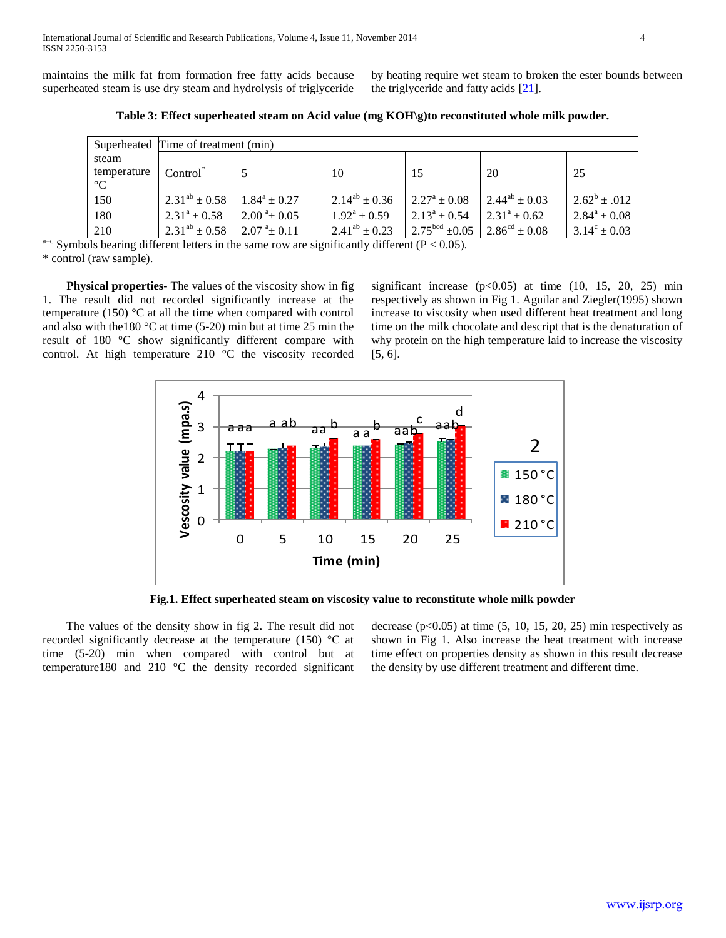maintains the milk fat from formation free fatty acids because superheated steam is use dry steam and hydrolysis of triglyceride by heating require wet steam to broken the ester bounds between the triglyceride and fatty acids [21].

|                 | Superheated Time of treatment (min) |                             |                         |                         |                             |                         |  |  |
|-----------------|-------------------------------------|-----------------------------|-------------------------|-------------------------|-----------------------------|-------------------------|--|--|
| steam           |                                     |                             |                         |                         |                             |                         |  |  |
| temperature     | Control <sup>®</sup>                |                             | 10                      | -15                     | 20                          | -25                     |  |  |
| $\rm ^{\circ}C$ |                                     |                             |                         |                         |                             |                         |  |  |
| 150             | $2.31^{ab} \pm 0.58$                | $1.84^a \pm 0.27$           | $2.14^{ab} \pm 0.36$    | $2.27^{\rm a} \pm 0.08$ | $2.44^{ab} \pm 0.03$        | $2.62^b \pm .012$       |  |  |
| 180             | $2.31^a \pm 0.58$                   | $2.00^{\text{ a}} \pm 0.05$ | $1.92^{\rm a} \pm 0.59$ | $2.13^a \pm 0.54$       | $2.31^a \pm 0.62$           | $2.84^a \pm 0.08$       |  |  |
| 210             | $2.31^{ab} \pm 0.58$                | $2.07^{\text{a}} \pm 0.11$  | $2.41^{ab} \pm 0.23$    | $2.75bcd \pm 0.05$      | $2.86^{\text{cd}} \pm 0.08$ | $3.14^{\circ} \pm 0.03$ |  |  |

**Table 3: Effect superheated steam on Acid value (mg KOH\g)to reconstituted whole milk powder.**

 $a-c$  Symbols bearing different letters in the same row are significantly different ( $P < 0.05$ ). \* control (raw sample).

 **Physical properties-** The values of the viscosity show in fig 1. The result did not recorded significantly increase at the temperature (150) °C at all the time when compared with control and also with the180 °C at time (5-20) min but at time 25 min the result of 180 °C show significantly different compare with control. At high temperature 210 °C the viscosity recorded significant increase  $(p<0.05)$  at time  $(10, 15, 20, 25)$  min respectively as shown in Fig 1. Aguilar and Ziegler(1995) shown increase to viscosity when used different heat treatment and long time on the milk chocolate and descript that is the denaturation of why protein on the high temperature laid to increase the viscosity [5, 6].



**Fig.1. Effect superheated steam on viscosity value to reconstitute whole milk powder**

 The values of the density show in fig 2. The result did not recorded significantly decrease at the temperature (150) °C at time (5-20) min when compared with control but at temperature180 and 210 °C the density recorded significant decrease  $(p<0.05)$  at time  $(5, 10, 15, 20, 25)$  min respectively as shown in Fig 1. Also increase the heat treatment with increase time effect on properties density as shown in this result decrease the density by use different treatment and different time.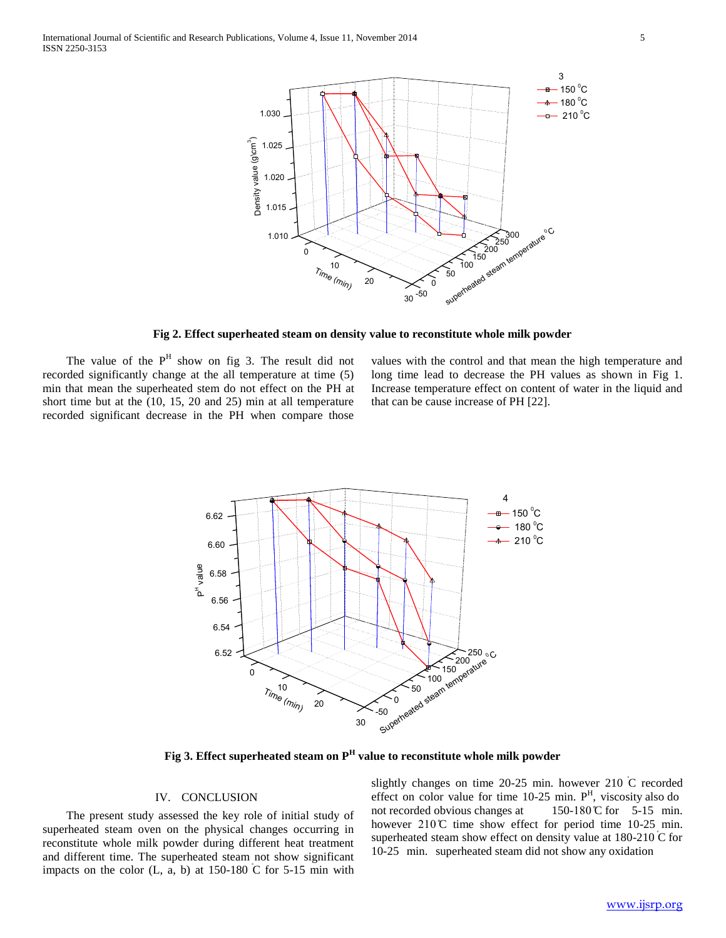

**Fig 2. Effect superheated steam on density value to reconstitute whole milk powder**

The value of the  $P<sup>H</sup>$  show on fig 3. The result did not recorded significantly change at the all temperature at time (5) min that mean the superheated stem do not effect on the PH at short time but at the (10, 15, 20 and 25) min at all temperature recorded significant decrease in the PH when compare those

values with the control and that mean the high temperature and long time lead to decrease the PH values as shown in Fig 1. Increase temperature effect on content of water in the liquid and that can be cause increase of PH [22].



**Fig 3. Effect superheated steam on P<sup>H</sup> value to reconstitute whole milk powder**

# IV. CONCLUSION

 The present study assessed the key role of initial study of superheated steam oven on the physical changes occurring in reconstitute whole milk powder during different heat treatment and different time. The superheated steam not show significant impacts on the color  $(L, a, b)$  at 150-180  $\overline{C}$  for 5-15 min with slightly changes on time 20-25 min. however 210 ̊C recorded effect on color value for time  $10-25$  min.  $P<sup>H</sup>$ , viscosity also do not recorded obvious changes at  $150-180$  °C for  $5-15$  min. however  $210^{\circ}$  time show effect for period time 10-25 min. superheated steam show effect on density value at  $180-210$  C for 10-25 min. superheated steam did not show any oxidation